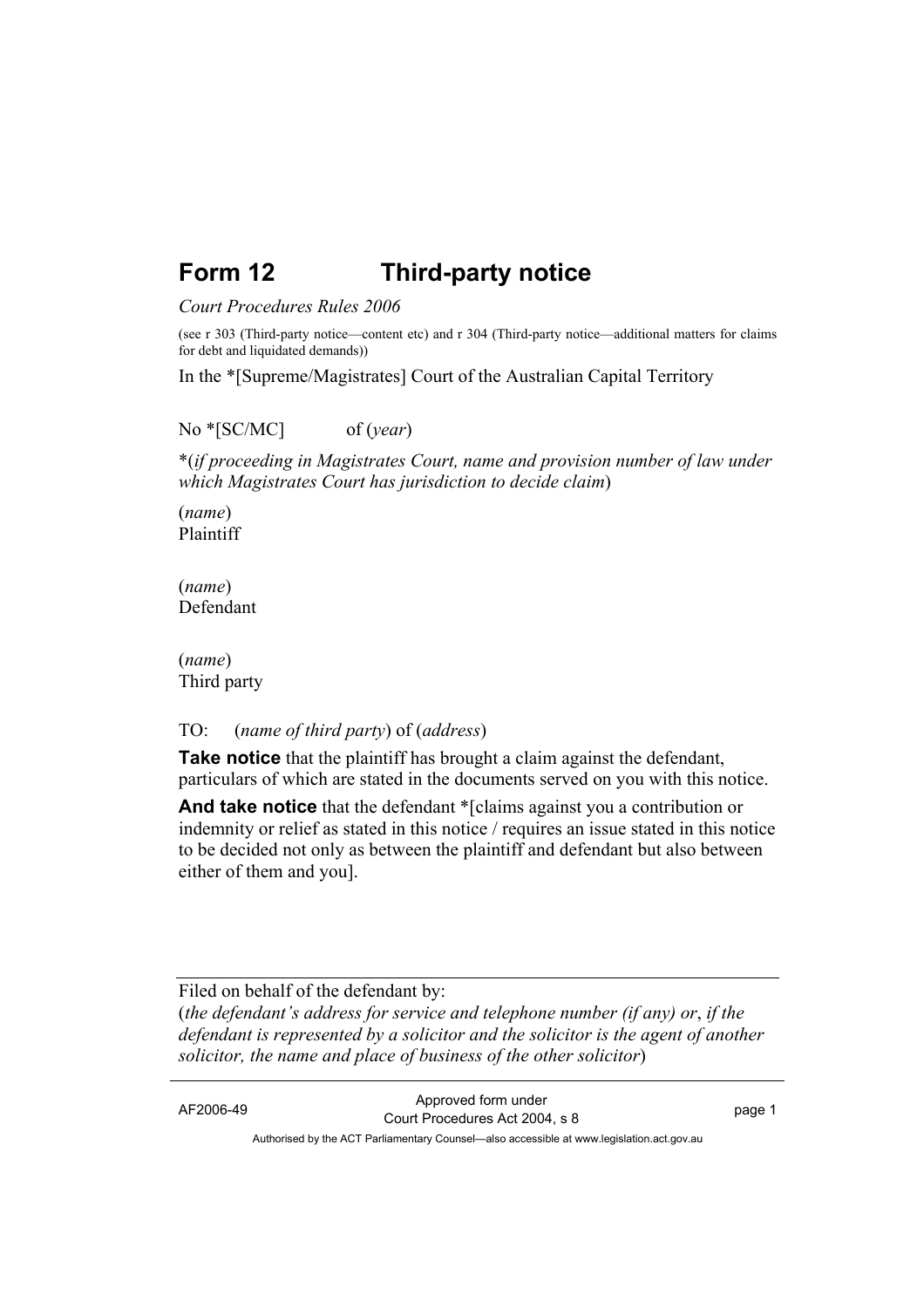# **Form 12 Third-party notice**

#### *Court Procedures Rules 2006*

(see r 303 (Third-party notice—content etc) and r 304 (Third-party notice—additional matters for claims for debt and liquidated demands))

In the \*[Supreme/Magistrates] Court of the Australian Capital Territory

#### No \*[SC/MC] of (*year*)

\*(*if proceeding in Magistrates Court, name and provision number of law under which Magistrates Court has jurisdiction to decide claim*)

(*name*) Plaintiff

(*name*) Defendant

(*name*) Third party

#### TO: (*name of third party*) of (*address*)

**Take notice** that the plaintiff has brought a claim against the defendant, particulars of which are stated in the documents served on you with this notice.

**And take notice** that the defendant \*[claims against you a contribution or indemnity or relief as stated in this notice / requires an issue stated in this notice to be decided not only as between the plaintiff and defendant but also between either of them and you].

Filed on behalf of the defendant by: (*the defendant's address for service and telephone number (if any) or*, *if the defendant is represented by a solicitor and the solicitor is the agent of another solicitor, the name and place of business of the other solicitor*)

AF2006-49 Approved form under Court Procedures Act 2004, s 8 page 1 Authorised by the ACT Parliamentary Counsel—also accessible at www.legislation.act.gov.au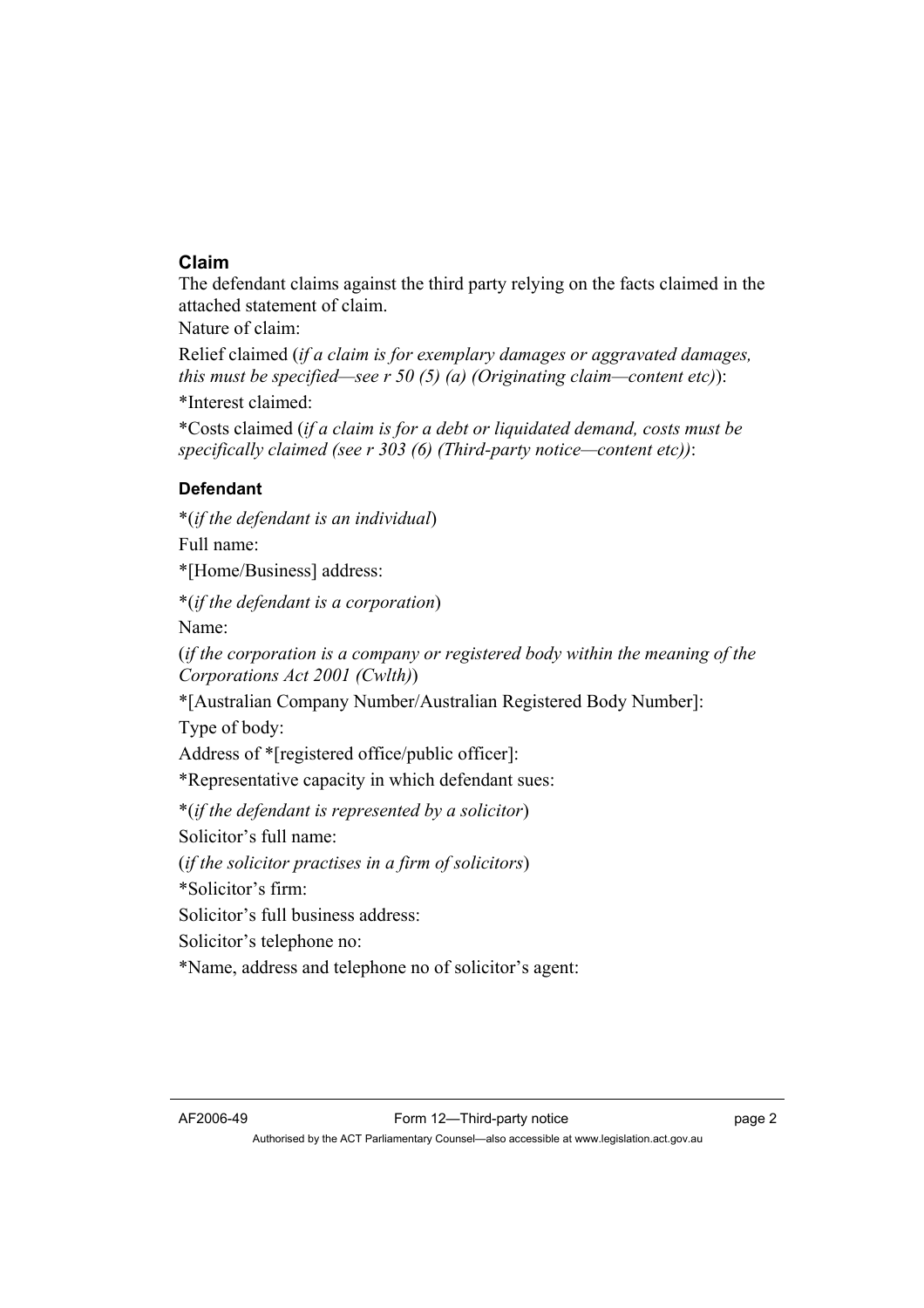## **Claim**

The defendant claims against the third party relying on the facts claimed in the attached statement of claim.

Nature of claim:

Relief claimed (*if a claim is for exemplary damages or aggravated damages, this must be specified—see r 50 (5) (a) (Originating claim—content etc)*):

\*Interest claimed:

\*Costs claimed (*if a claim is for a debt or liquidated demand, costs must be specifically claimed (see r 303 (6) (Third-party notice—content etc))*:

## **Defendant**

\*(*if the defendant is an individual*)

Full name:

\*[Home/Business] address:

\*(*if the defendant is a corporation*)

Name:

(*if the corporation is a company or registered body within the meaning of the Corporations Act 2001 (Cwlth)*)

\*[Australian Company Number/Australian Registered Body Number]:

Type of body:

Address of \*[registered office/public officer]:

\*Representative capacity in which defendant sues:

\*(*if the defendant is represented by a solicitor*)

Solicitor's full name:

(*if the solicitor practises in a firm of solicitors*)

\*Solicitor's firm:

Solicitor's full business address:

Solicitor's telephone no:

\*Name, address and telephone no of solicitor's agent: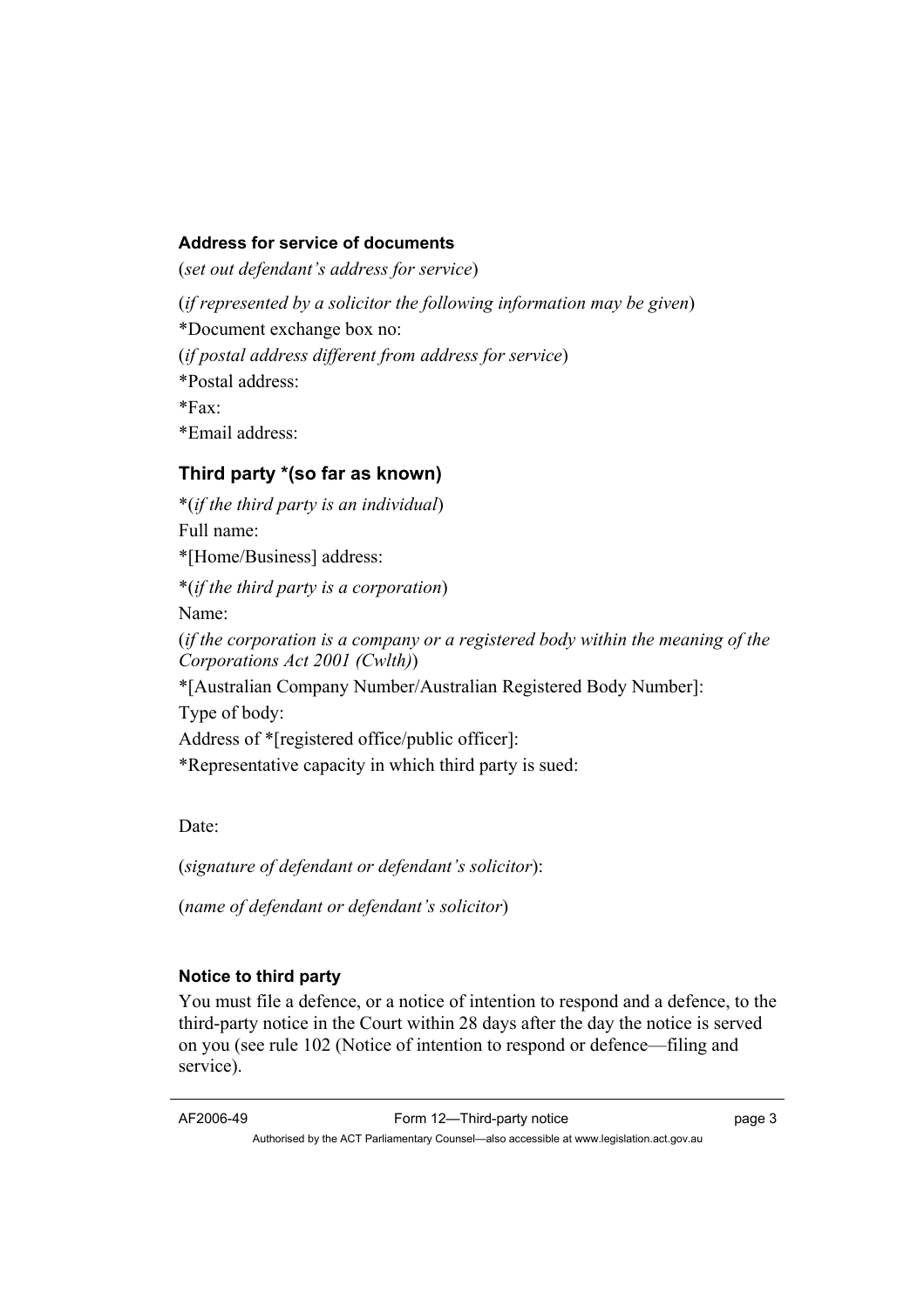#### **Address for service of documents**

(*set out defendant's address for service*)

(*if represented by a solicitor the following information may be given*)

\*Document exchange box no:

(*if postal address different from address for service*)

\*Postal address:

 $*Fax$ 

\*Email address:

# **Third party \*(so far as known)**

\*(*if the third party is an individual*) Full name: \*[Home/Business] address: \*(*if the third party is a corporation*) Name: (*if the corporation is a company or a registered body within the meaning of the Corporations Act 2001 (Cwlth)*) \*[Australian Company Number/Australian Registered Body Number]: Type of body: Address of \*[registered office/public officer]: \*Representative capacity in which third party is sued:

Date:

(*signature of defendant or defendant's solicitor*):

(*name of defendant or defendant's solicitor*)

# **Notice to third party**

You must file a defence, or a notice of intention to respond and a defence, to the third-party notice in the Court within 28 days after the day the notice is served on you (see rule 102 (Notice of intention to respond or defence—filing and service).